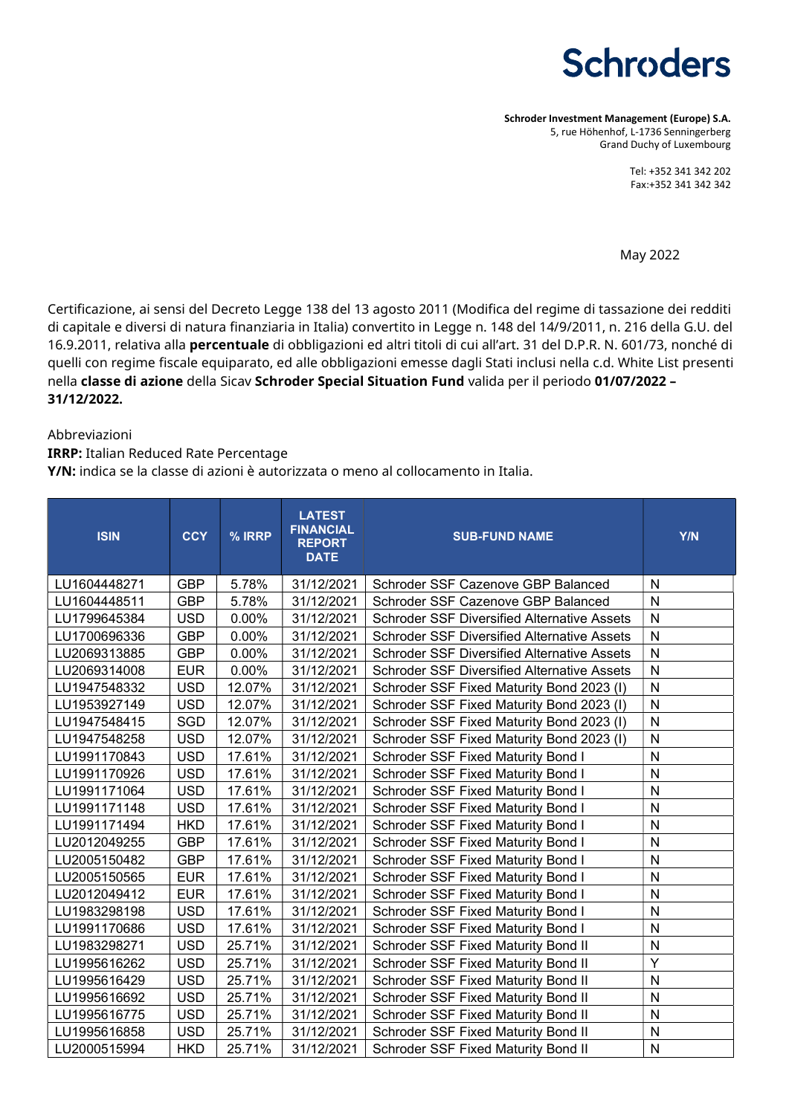# **Schroders**

Schroder Investment Management (Europe) S.A. 5, rue Höhenhof, L-1736 Senningerberg Grand Duchy of Luxembourg

> Tel: +352 341 342 202 Fax:+352 341 342 342

May 2022

Certificazione, ai sensi del Decreto Legge 138 del 13 agosto 2011 (Modifica del regime di tassazione dei redditi di capitale e diversi di natura finanziaria in Italia) convertito in Legge n. 148 del 14/9/2011, n. 216 della G.U. del 16.9.2011, relativa alla percentuale di obbligazioni ed altri titoli di cui all'art. 31 del D.P.R. N. 601/73, nonché di quelli con regime fiscale equiparato, ed alle obbligazioni emesse dagli Stati inclusi nella c.d. White List presenti nella classe di azione della Sicav Schroder Special Situation Fund valida per il periodo 01/07/2022 – 31/12/2022.

#### Abbreviazioni

IRRP: Italian Reduced Rate Percentage

Y/N: indica se la classe di azioni è autorizzata o meno al collocamento in Italia.

| <b>ISIN</b>  | <b>CCY</b> | % IRRP | <b>LATEST</b><br><b>FINANCIAL</b><br><b>REPORT</b><br><b>DATE</b> | <b>SUB-FUND NAME</b>                               | Y/N          |
|--------------|------------|--------|-------------------------------------------------------------------|----------------------------------------------------|--------------|
| LU1604448271 | <b>GBP</b> | 5.78%  | 31/12/2021                                                        | Schroder SSF Cazenove GBP Balanced                 | N            |
| LU1604448511 | <b>GBP</b> | 5.78%  | 31/12/2021                                                        | Schroder SSF Cazenove GBP Balanced                 | $\mathsf{N}$ |
| LU1799645384 | <b>USD</b> | 0.00%  | 31/12/2021                                                        | <b>Schroder SSF Diversified Alternative Assets</b> | N            |
| LU1700696336 | <b>GBP</b> | 0.00%  | 31/12/2021                                                        | <b>Schroder SSF Diversified Alternative Assets</b> | $\mathsf{N}$ |
| LU2069313885 | <b>GBP</b> | 0.00%  | 31/12/2021                                                        | <b>Schroder SSF Diversified Alternative Assets</b> | $\mathsf{N}$ |
| LU2069314008 | <b>EUR</b> | 0.00%  | 31/12/2021                                                        | <b>Schroder SSF Diversified Alternative Assets</b> | N            |
| LU1947548332 | <b>USD</b> | 12.07% | 31/12/2021                                                        | Schroder SSF Fixed Maturity Bond 2023 (I)          | $\mathsf{N}$ |
| LU1953927149 | <b>USD</b> | 12.07% | 31/12/2021                                                        | Schroder SSF Fixed Maturity Bond 2023 (I)          | N            |
| LU1947548415 | <b>SGD</b> | 12.07% | 31/12/2021                                                        | Schroder SSF Fixed Maturity Bond 2023 (I)          | $\mathsf{N}$ |
| LU1947548258 | <b>USD</b> | 12.07% | 31/12/2021                                                        | Schroder SSF Fixed Maturity Bond 2023 (I)          | ${\sf N}$    |
| LU1991170843 | <b>USD</b> | 17.61% | 31/12/2021                                                        | Schroder SSF Fixed Maturity Bond I                 | N            |
| LU1991170926 | <b>USD</b> | 17.61% | 31/12/2021                                                        | <b>Schroder SSF Fixed Maturity Bond I</b>          | $\mathsf{N}$ |
| LU1991171064 | <b>USD</b> | 17.61% | 31/12/2021                                                        | <b>Schroder SSF Fixed Maturity Bond I</b>          | N            |
| LU1991171148 | <b>USD</b> | 17.61% | 31/12/2021                                                        | <b>Schroder SSF Fixed Maturity Bond I</b>          | N            |
| LU1991171494 | <b>HKD</b> | 17.61% | 31/12/2021                                                        | Schroder SSF Fixed Maturity Bond I                 | N            |
| LU2012049255 | <b>GBP</b> | 17.61% | 31/12/2021                                                        | Schroder SSF Fixed Maturity Bond I                 | N            |
| LU2005150482 | <b>GBP</b> | 17.61% | 31/12/2021                                                        | <b>Schroder SSF Fixed Maturity Bond I</b>          | N            |
| LU2005150565 | <b>EUR</b> | 17.61% | 31/12/2021                                                        | <b>Schroder SSF Fixed Maturity Bond I</b>          | N            |
| LU2012049412 | <b>EUR</b> | 17.61% | 31/12/2021                                                        | <b>Schroder SSF Fixed Maturity Bond I</b>          | ${\sf N}$    |
| LU1983298198 | <b>USD</b> | 17.61% | 31/12/2021                                                        | Schroder SSF Fixed Maturity Bond I                 | N            |
| LU1991170686 | <b>USD</b> | 17.61% | 31/12/2021                                                        | Schroder SSF Fixed Maturity Bond I                 | N            |
| LU1983298271 | <b>USD</b> | 25.71% | 31/12/2021                                                        | Schroder SSF Fixed Maturity Bond II                | N            |
| LU1995616262 | <b>USD</b> | 25.71% | 31/12/2021                                                        | Schroder SSF Fixed Maturity Bond II                | Υ            |
| LU1995616429 | <b>USD</b> | 25.71% | 31/12/2021                                                        | Schroder SSF Fixed Maturity Bond II                | N            |
| LU1995616692 | <b>USD</b> | 25.71% | 31/12/2021                                                        | Schroder SSF Fixed Maturity Bond II                | N            |
| LU1995616775 | <b>USD</b> | 25.71% | 31/12/2021                                                        | Schroder SSF Fixed Maturity Bond II                | ${\sf N}$    |
| LU1995616858 | <b>USD</b> | 25.71% | 31/12/2021                                                        | Schroder SSF Fixed Maturity Bond II                | N            |
| LU2000515994 | <b>HKD</b> | 25.71% | 31/12/2021                                                        | Schroder SSF Fixed Maturity Bond II                | N            |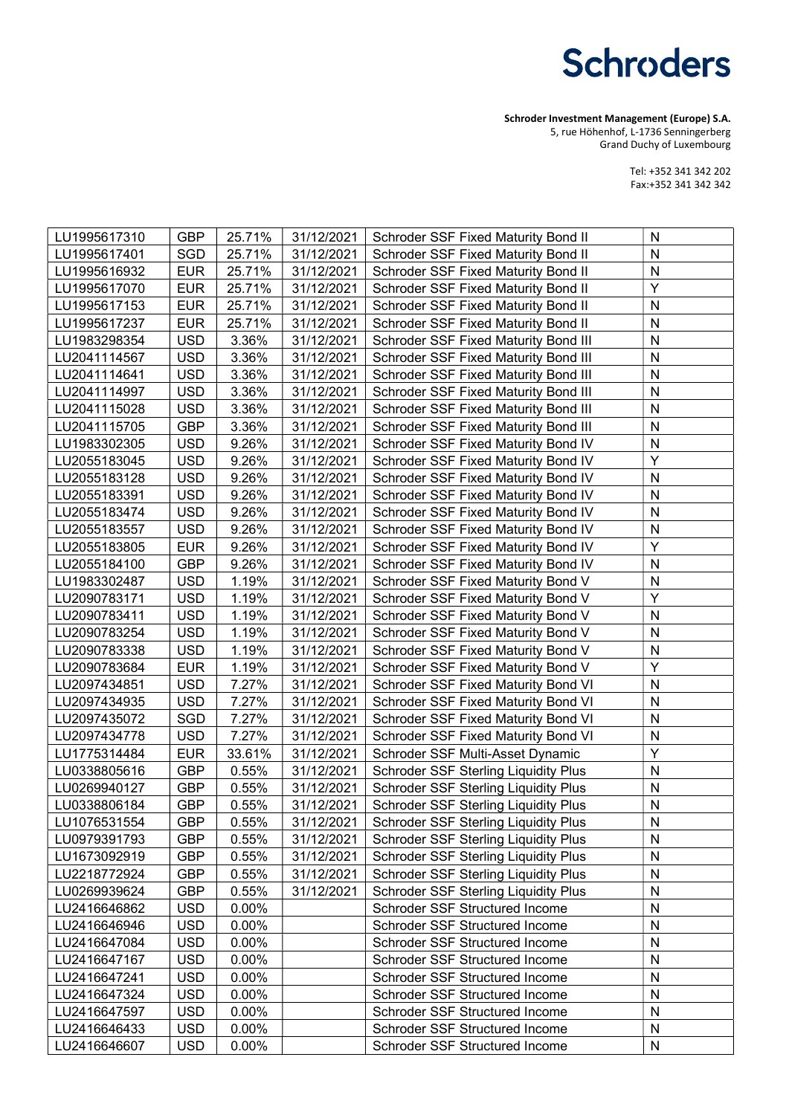# **Schroders**

Schroder Investment Management (Europe) S.A. 5, rue Höhenhof, L-1736 Senningerberg

Grand Duchy of Luxembourg

Tel: +352 341 342 202 Fax:+352 341 342 342

| LU1995617310 | <b>GBP</b> | 25.71%   | 31/12/2021 | Schroder SSF Fixed Maturity Bond II         | N            |
|--------------|------------|----------|------------|---------------------------------------------|--------------|
| LU1995617401 | <b>SGD</b> | 25.71%   | 31/12/2021 | Schroder SSF Fixed Maturity Bond II         | $\mathsf{N}$ |
| LU1995616932 | <b>EUR</b> | 25.71%   | 31/12/2021 | Schroder SSF Fixed Maturity Bond II         | ${\sf N}$    |
| LU1995617070 | <b>EUR</b> | 25.71%   | 31/12/2021 | Schroder SSF Fixed Maturity Bond II         | Υ            |
| LU1995617153 | <b>EUR</b> | 25.71%   | 31/12/2021 | Schroder SSF Fixed Maturity Bond II         | N            |
| LU1995617237 | <b>EUR</b> | 25.71%   | 31/12/2021 | Schroder SSF Fixed Maturity Bond II         | N            |
| LU1983298354 | <b>USD</b> | 3.36%    | 31/12/2021 | <b>Schroder SSF Fixed Maturity Bond III</b> | N            |
| LU2041114567 | <b>USD</b> | 3.36%    | 31/12/2021 | Schroder SSF Fixed Maturity Bond III        | ${\sf N}$    |
| LU2041114641 | <b>USD</b> | 3.36%    | 31/12/2021 | Schroder SSF Fixed Maturity Bond III        | ${\sf N}$    |
| LU2041114997 | <b>USD</b> | 3.36%    | 31/12/2021 | Schroder SSF Fixed Maturity Bond III        | ${\sf N}$    |
| LU2041115028 | <b>USD</b> | 3.36%    | 31/12/2021 | Schroder SSF Fixed Maturity Bond III        | ${\sf N}$    |
| LU2041115705 | <b>GBP</b> | 3.36%    | 31/12/2021 | Schroder SSF Fixed Maturity Bond III        | N            |
| LU1983302305 | <b>USD</b> | 9.26%    | 31/12/2021 | Schroder SSF Fixed Maturity Bond IV         | N            |
| LU2055183045 | <b>USD</b> | 9.26%    | 31/12/2021 | Schroder SSF Fixed Maturity Bond IV         | Y            |
| LU2055183128 | <b>USD</b> | 9.26%    | 31/12/2021 | Schroder SSF Fixed Maturity Bond IV         | ${\sf N}$    |
| LU2055183391 | <b>USD</b> | 9.26%    | 31/12/2021 | Schroder SSF Fixed Maturity Bond IV         | ${\sf N}$    |
| LU2055183474 | <b>USD</b> | 9.26%    | 31/12/2021 | Schroder SSF Fixed Maturity Bond IV         | ${\sf N}$    |
| LU2055183557 | <b>USD</b> | 9.26%    | 31/12/2021 | Schroder SSF Fixed Maturity Bond IV         | N            |
| LU2055183805 | <b>EUR</b> | 9.26%    | 31/12/2021 | Schroder SSF Fixed Maturity Bond IV         | Y            |
| LU2055184100 | <b>GBP</b> | 9.26%    | 31/12/2021 | Schroder SSF Fixed Maturity Bond IV         | ${\sf N}$    |
| LU1983302487 | <b>USD</b> | 1.19%    | 31/12/2021 | Schroder SSF Fixed Maturity Bond V          | ${\sf N}$    |
| LU2090783171 | <b>USD</b> | 1.19%    | 31/12/2021 | Schroder SSF Fixed Maturity Bond V          | Υ            |
| LU2090783411 | <b>USD</b> | 1.19%    | 31/12/2021 | Schroder SSF Fixed Maturity Bond V          | N            |
| LU2090783254 | <b>USD</b> | 1.19%    | 31/12/2021 | Schroder SSF Fixed Maturity Bond V          | N            |
| LU2090783338 | <b>USD</b> | 1.19%    | 31/12/2021 | Schroder SSF Fixed Maturity Bond V          | ${\sf N}$    |
| LU2090783684 | <b>EUR</b> | 1.19%    | 31/12/2021 | Schroder SSF Fixed Maturity Bond V          | Y            |
| LU2097434851 | <b>USD</b> | 7.27%    | 31/12/2021 | Schroder SSF Fixed Maturity Bond VI         | ${\sf N}$    |
| LU2097434935 | <b>USD</b> | 7.27%    | 31/12/2021 | Schroder SSF Fixed Maturity Bond VI         | N            |
| LU2097435072 | SGD        | 7.27%    | 31/12/2021 | Schroder SSF Fixed Maturity Bond VI         | N            |
| LU2097434778 | <b>USD</b> | 7.27%    | 31/12/2021 | Schroder SSF Fixed Maturity Bond VI         | N            |
| LU1775314484 | <b>EUR</b> | 33.61%   | 31/12/2021 | Schroder SSF Multi-Asset Dynamic            | Υ            |
| LU0338805616 | <b>GBP</b> | 0.55%    | 31/12/2021 | <b>Schroder SSF Sterling Liquidity Plus</b> | ${\sf N}$    |
| LU0269940127 | <b>GBP</b> | 0.55%    | 31/12/2021 | Schroder SSF Sterling Liquidity Plus        | N            |
| LU0338806184 | <b>GBP</b> | 0.55%    | 31/12/2021 | <b>Schroder SSF Sterling Liquidity Plus</b> | N            |
| LU1076531554 | <b>GBP</b> | 0.55%    | 31/12/2021 | Schroder SSF Sterling Liquidity Plus        | N            |
| LU0979391793 | <b>GBP</b> | 0.55%    | 31/12/2021 | Schroder SSF Sterling Liquidity Plus        | N            |
| LU1673092919 | <b>GBP</b> | 0.55%    | 31/12/2021 | <b>Schroder SSF Sterling Liquidity Plus</b> | N            |
| LU2218772924 | <b>GBP</b> | 0.55%    | 31/12/2021 | Schroder SSF Sterling Liquidity Plus        | N            |
| LU0269939624 | <b>GBP</b> | 0.55%    | 31/12/2021 | Schroder SSF Sterling Liquidity Plus        | N            |
| LU2416646862 | <b>USD</b> | $0.00\%$ |            | Schroder SSF Structured Income              | N            |
| LU2416646946 | <b>USD</b> | 0.00%    |            | Schroder SSF Structured Income              | N            |
| LU2416647084 | <b>USD</b> | 0.00%    |            | Schroder SSF Structured Income              | N            |
| LU2416647167 | <b>USD</b> | $0.00\%$ |            | Schroder SSF Structured Income              | N            |
| LU2416647241 | <b>USD</b> | $0.00\%$ |            | Schroder SSF Structured Income              | N            |
| LU2416647324 | <b>USD</b> | $0.00\%$ |            | Schroder SSF Structured Income              | N            |
| LU2416647597 | <b>USD</b> | $0.00\%$ |            | Schroder SSF Structured Income              | N            |
| LU2416646433 | <b>USD</b> | $0.00\%$ |            | Schroder SSF Structured Income              | N            |
| LU2416646607 | <b>USD</b> | $0.00\%$ |            | Schroder SSF Structured Income              | N            |